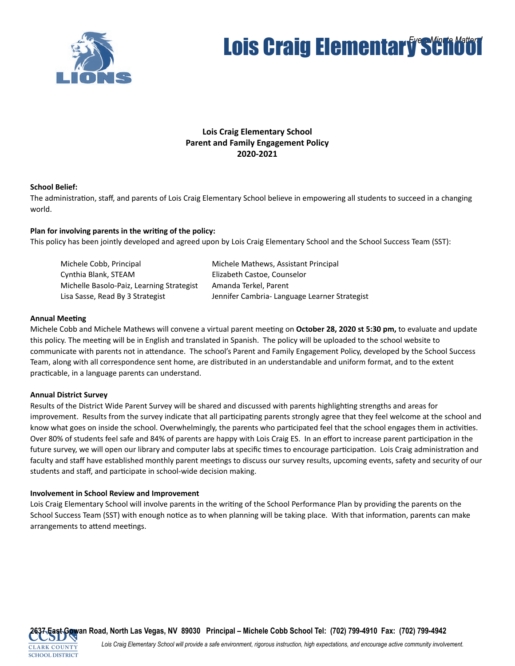

# **Lois Craig Elementary School**

## **Lois Craig Elementary School Parent and Family Engagement Policy 2020-2021**

## **School Belief:**

The administration, staff, and parents of Lois Craig Elementary School believe in empowering all students to succeed in a changing world.

## Plan for involving parents in the writing of the policy:

This policy has been jointly developed and agreed upon by Lois Craig Elementary School and the School Success Team (SST):

| Michele Cobb, Principal                   | Michele Mathews, Assistant Principal          |
|-------------------------------------------|-----------------------------------------------|
| Cynthia Blank, STEAM                      | Elizabeth Castoe, Counselor                   |
| Michelle Basolo-Paiz, Learning Strategist | Amanda Terkel, Parent                         |
| Lisa Sasse, Read By 3 Strategist          | Jennifer Cambria- Language Learner Strategist |

### **Annual Meeting**

Michele Cobb and Michele Mathews will convene a virtual parent meeting on October 28, 2020 st 5:30 pm, to evaluate and update this policy. The meeting will be in English and translated in Spanish. The policy will be uploaded to the school website to communicate with parents not in attendance. The school's Parent and Family Engagement Policy, developed by the School Success Team, along with all correspondence sent home, are distributed in an understandable and uniform format, and to the extent practicable, in a language parents can understand.

### **Annual District Survey**

Results of the District Wide Parent Survey will be shared and discussed with parents highlighting strengths and areas for improvement. Results from the survey indicate that all participating parents strongly agree that they feel welcome at the school and know what goes on inside the school. Overwhelmingly, the parents who participated feel that the school engages them in activities. Over 80% of students feel safe and 84% of parents are happy with Lois Craig ES. In an effort to increase parent participation in the future survey, we will open our library and computer labs at specific times to encourage participation. Lois Craig administration and faculty and staff have established monthly parent meetings to discuss our survey results, upcoming events, safety and security of our students and staff, and participate in school-wide decision making.

### **Involvement in School Review and Improvement**

Lois Craig Elementary School will involve parents in the writing of the School Performance Plan by providing the parents on the School Success Team (SST) with enough notice as to when planning will be taking place. With that information, parents can make arrangements to attend meetings.

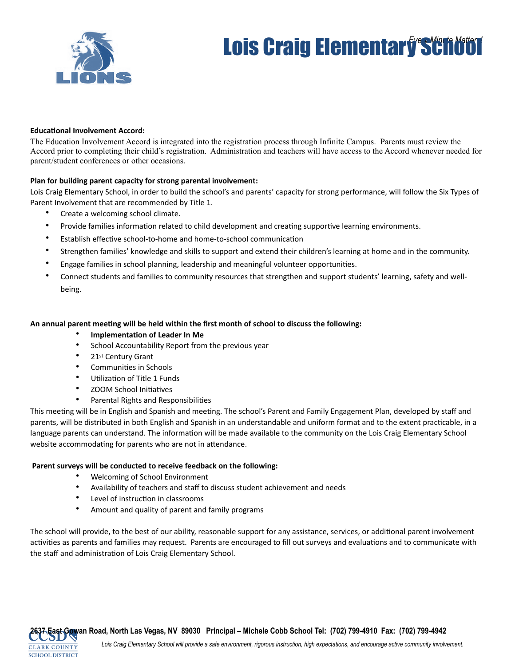

# **Lois Craig Elementary School**

#### **Educational Involvement Accord:**

The Education Involvement Accord is integrated into the registration process through Infinite Campus. Parents must review the Accord prior to completing their child's registration. Administration and teachers will have access to the Accord whenever needed for parent/student conferences or other occasions.

#### **Plan for building parent capacity for strong parental involvement:**

Lois Craig Elementary School, in order to build the school's and parents' capacity for strong performance, will follow the Six Types of Parent Involvement that are recommended by Title 1.

- Create a welcoming school climate.
- Provide families information related to child development and creating supportive learning environments.
- Establish effective school-to-home and home-to-school communication
- Strengthen families' knowledge and skills to support and extend their children's learning at home and in the community.
- Engage families in school planning, leadership and meaningful volunteer opportunities.
- Connect students and families to community resources that strengthen and support students' learning, safety and wellbeing.

#### An annual parent meeting will be held within the first month of school to discuss the following:

- **Implementation of Leader In Me**
- School Accountability Report from the previous year
- 21st Century Grant
- Communities in Schools
- Utilization of Title 1 Funds
- ZOOM School Initiatives
- Parental Rights and Responsibilities

This meeting will be in English and Spanish and meeting. The school's Parent and Family Engagement Plan, developed by staff and parents, will be distributed in both English and Spanish in an understandable and uniform format and to the extent practicable, in a language parents can understand. The information will be made available to the community on the Lois Craig Elementary School website accommodating for parents who are not in attendance.

#### **Parent surveys will be conducted to receive feedback on the following:**

- Welcoming of School Environment
- Availability of teachers and staff to discuss student achievement and needs
- Level of instruction in classrooms

**CLARK COUNTY SCHOOL DISTRICT** 

• Amount and quality of parent and family programs

The school will provide, to the best of our ability, reasonable support for any assistance, services, or additional parent involvement activities as parents and families may request. Parents are encouraged to fill out surveys and evaluations and to communicate with the staff and administration of Lois Craig Elementary School.

*Lois Craig Elementary School will provide a safe environment, rigorous instruction, high expectations, and encourage active community involvement.*